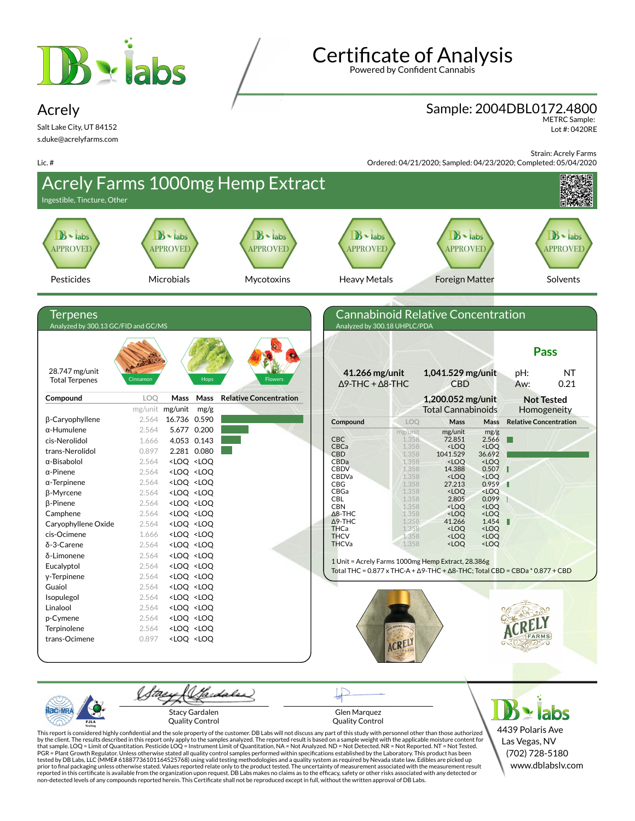



Powered by Confident Cannabis

## Sample: 2004DBL0172.4800

METRC Sample: Lot #: 0420RE

Strain: Acrely Farms



Gardales Stacy Gardalen Glen Marquez Quality Control Quality Control

This report is considered highly confidential and the sole property of the customer. DB Labs will not discuss any part of this study with personnel other than those authorized<br>by the client. The results described in this r tested by DB Labs, LLC (MME# 61887736101164525768) using valid testing methodologies and a quality system as required by Nevada state law. Edibles are picked up<br>prior to final packaging unless otherwise stated. Values repo

4439 Polaris Ave Las Vegas, NV (702) 728-5180 www.dblabslv.com

 $\geq$  labs

Lic. #

Acrely

Salt Lake City, UT 84152 s.duke@acrelyfarms.com